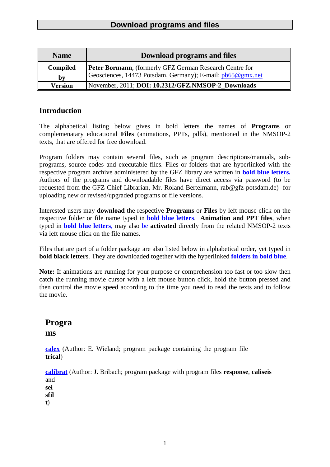| <b>Name</b>     | <b>Download programs and files</b>                                                                                    |
|-----------------|-----------------------------------------------------------------------------------------------------------------------|
| <b>Compiled</b> | Peter Bormann, (formerly GFZ German Research Centre for<br>Geosciences, 14473 Potsdam, Germany); E-mail: pb65@gmx.net |
| by              |                                                                                                                       |
| <b>Version</b>  | November, 2011; DOI: 10.2312/GFZ.NMSOP-2 Downloads                                                                    |

### **Introduction**

The alphabetical listing below gives in bold letters the names of **Programs** or complemenatary educational **Files** (animations, PPTs, pdfs), mentioned in the NMSOP-2 texts, that are offered for free download.

Program folders may contain several files, such as program descriptions/manuals, subprograms, source codes and executable files. Files or folders that are hyperlinked with the respective program archive administered by the GFZ library are written in **bold blue letters.**  Authors of the programs and downloadable files have direct access via password (to be requested from the GFZ Chief Librarian, Mr. Roland Bertelmann, rab@gfz-potsdam.de) for uploading new or revised/upgraded programs or file versions.

Interested users may **download** the respective **Programs** or **Files** by left mouse click on the respective folder or file name typed in **bold blue letters**. **Animation and PPT files**, when typed in **bold blue letters**, may also be **activated** directly from the related NMSOP-2 texts via left mouse click on the file names.

Files that are part of a folder package are also listed below in alphabetical order, yet typed in **bold black letter**s. They are downloaded together with the hyperlinked **folders in bold blue**.

Note: If animations are running for your purpose or comprehension too fast or too slow then catch the running movie cursor with a left mouse button click, hold the button pressed and then control the movie speed according to the time you need to read the texts and to follow the movie.

# **Progra ms**

**[calex](http://www.gfz-potsdam.de/bib/pub/nmsop/software_wielandt.rar)** (Author: E. Wieland; program package containing the program file **trical**)

**[calibrat](http://www.gfz-potsdam.de/bib/pub/nmsop/software_bribach.rar)** (Author: J. Bribach; program package with program files **response**, **caliseis**  and **sei sfil**

**t**)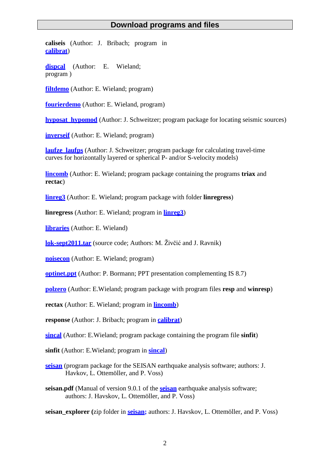**caliseis** (Author: J. Bribach; program in **[calibrat](http://www.gfz-potsdam.de/bib/pub/nmsop/software_bribach.rar)**)

**[dispcal](http://www.gfz-potsdam.de/bib/pub/nmsop/software_wielandt.rar)** (Author: E. Wieland; program )

**[filtdemo](http://www.gfz-potsdam.de/bib/pub/nmsop/software_wielandt.rar)** (Author: E. Wieland; program)

**[fourierdemo](http://www.gfz-potsdam.de/bib/pub/nmsop/software_wielandt.rar)** (Author: E. Wieland, program)

**[hyposat\\_hypomod](http://www.gfz-potsdam.de/bib/pub/nmsop/software_schweitzer.rar)** (Author: J. Schweitzer; program package for locating seismic sources)

**[inverseif](http://www.gfz-potsdam.de/bib/pub/nmsop/software_wielandt.rar)** (Author: E. Wieland; program)

**laufze laufps** (Author: J. Schweitzer; program package for calculating travel-time curves for horizontally layered or spherical P- and/or S-velocity models)

**[lincomb](http://www.gfz-potsdam.de/bib/pub/nmsop/software_wielandt.rar)** (Author: E. Wieland; program package containing the programs **triax** and **rectac**)

**[linreg3](http://www.gfz-potsdam.de/bib/pub/nmsop/software_wielandt.rar)** (Author: E. Wieland; program package with folder **linregress**)

**linregress** (Author: E. Wieland; program in **[linreg3](http://www.gfz-potsdam.de/bib/pub/nmsop/software_wielandt.rar)**)

**[libraries](http://www.gfz-potsdam.de/bib/pub/nmsop/software_wielandt.rar)** (Author: E. Wieland)

**[lok-sept2011.tar](http://www.gfz-potsdam.de/bib/pub/nmsop/software_ravnik.tar.gz)** (source code; Authors: M. Živčić and J. Ravnik)

**[noisecon](http://www.gfz-potsdam.de/bib/pub/nmsop/software_wielandt.rar)** (Author: E. Wieland; program)

**[optinet.ppt](http://ebooks.gfz-potsdam.de/pubman/item/escidoc%3A43352%3A3/component/escidoc%3A61195/IS_8.7_optinet.pdf)** (Author: P. Bormann; PPT presentation complementing IS 8.7)

**[polzero](http://www.gfz-potsdam.de/bib/pub/nmsop/software_wielandt.rar)** (Author: E.Wieland; program package with program files **resp** and **winresp**)

**rectax** (Author: E. Wieland; program in **[lincomb](http://www.gfz-potsdam.de/bib/pub/nmsop/software_wielandt.rar)**)

**response** (Author: J. Bribach; program in **[calibrat](http://www.gfz-potsdam.de/bib/pub/nmsop/software_bribach.rar)**)

**[sincal](http://www.gfz-potsdam.de/bib/pub/nmsop/software_wielandt.rar)** (Author: E.Wieland; program package containing the program file **sinfit**)

**sinfit** (Author: E.Wieland; program in **[sincal](http://www.gfz-potsdam.de/bib/pub/nmsop/software_wielandt.rar)**)

**[seisan](http://www.gfz-potsdam.de/bib/pub/nmsop/software_ottem%C3%83%C2%B6ller_havskov.rar)** (program package for the SEISAN earthquake analysis software; authors: J. Havkov, L. Ottemöller, and P. Voss)

**seisan.pdf** (Manual of version 9.0.1 of the **[seisan](http://www.gfz-potsdam.de/bib/pub/nmsop/software_ottem%C3%83%C2%B6ller_havskov.rar)** earthquake analysis software; authors: J. Havskov, L. Ottemöller, and P. Voss)

**seisan\_explorer (**zip folder in **[seisan;](http://www.gfz-potsdam.de/bib/pub/nmsop/software_ottem%C3%83%C2%B6ller_havskov.rar)** authors: J. Havskov, L. Ottemöller, and P. Voss)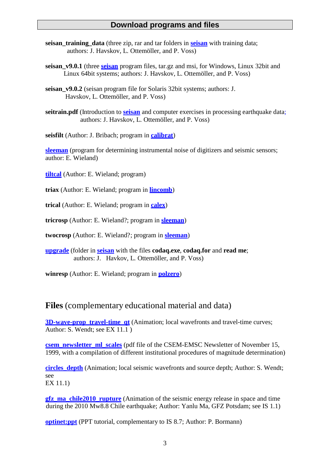- **[seisan](http://www.gfz-potsdam.de/bib/pub/nmsop/software_ottem%C3%83%C2%B6ller_havskov.rar) training data** (three zip, rar and tar folders in **seisan** with training data; authors: J. Havskov, L. Ottemöller, and P. Voss)
- **seisan\_v9.0.1** (three **[seisan](http://www.gfz-potsdam.de/bib/pub/nmsop/software_ottem%C3%83%C2%B6ller_havskov.rar)** program files, tar.gz and msi, for Windows, Linux 32bit and Linux 64bit systems; authors: J. Havskov, L. Ottemöller, and P. Voss)
- **seisan\_v9.0.2** (seisan program file for Solaris 32bit systems; authors: J. Havskov, L. Ottemöller, and P. Voss)
- **seitrain.pdf** (Introduction to **[seisan](http://www.gfz-potsdam.de/bib/pub/nmsop/software_ottem%C3%83%C2%B6ller_havskov.rar)** and computer exercises in processing earthquake data; authors: J. Havskov, L. Ottemöller, and P. Voss)

**seisfilt** (Author: J. Bribach; program in **[calibrat](http://www.gfz-potsdam.de/bib/pub/nmsop/software_bribach.rar)**)

**[sleeman](http://www.gfz-potsdam.de/bib/pub/nmsop/software_wielandt.rar)** (program for determining instrumental noise of digitizers and seismic sensors; author: E. Wieland)

**[tiltcal](http://www.gfz-potsdam.de/bib/pub/nmsop/software_wielandt.rar)** (Author: E. Wieland; program)

**triax** (Author: E. Wieland; program in **[lincomb](http://www.gfz-potsdam.de/bib/pub/nmsop/software_wielandt.rar)**)

**trical** (Author: E. Wieland; program in **[calex](http://www.gfz-potsdam.de/bib/pub/nmsop/software_wielandt.rar)**)

**tricrosp** (Author: E. Wieland?; program in **[sleeman](http://www.gfz-potsdam.de/bib/pub/nmsop/software_wielandt.rar)**)

**twocrosp** (Author: E. Wieland?; program in **[sleeman](http://www.gfz-potsdam.de/bib/pub/nmsop/software_wielandt.rar)**)

**[upgrade](http://www.gfz-potsdam.de/bib/pub/nmsop/software_ottem%C3%83%C2%B6ller_havskov.rar)** (folder in **[seisan](http://www.gfz-potsdam.de/bib/pub/nmsop/software_ottem%C3%83%C2%B6ller_havskov.rar)** with the files **codaq.exe**, **codaq.for** and **read me**; authors: J. Havkov, L. Ottemöller, and P. Voss)

**winresp** (Author: E. Wieland; program in **[polzero](http://www.gfz-potsdam.de/bib/pub/nmsop/software_wielandt.rar)**)

# **Files** (complementary educational material and data)

**[3D-wave-prop\\_travel-time\\_qt](http://www.gfz-potsdam.de/bib/pub/nmsop/files_wendt/3d-wave-prop_travel-time_qt.mov)** (Animation; local wavefronts and travel-time curves; Author: S. Wendt; see EX 11.1 )

**[csem\\_newsletter\\_ml\\_scales](http://www.gfz-potsdam.de/bib/pub/nmsop/csem_newsletter_ml_scales.pdf)** (pdf file of the CSEM-EMSC Newsletter of November 15, 1999, with a compilation of different institutional procedures of magnitude determination)

**circles** depth (Animation; local seismic wavefronts and source depth; Author: S. Wendt; see EX 11.1)

**gfz** ma chile2010 rupture (Animation of the seismic energy release in space and time during the 2010 Mw8.8 Chile earthquake; Author: Yanlu Ma, GFZ Potsdam; see IS 1.1)

**[optinet:ppt](http://ebooks.gfz-potsdam.de/pubman/item/escidoc%3A43352/component/escidoc%3A61195/IS_8.7_optinet.pdf)** (PPT tutorial, complementary to IS 8.7; Author: P. Bormann)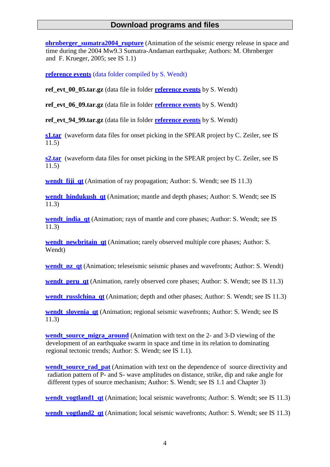**ohrnberger** sumatra2004 rupture (Animation of the seismic energy release in space and time during the 2004 Mw9.3 Sumatra-Andaman earthquake; Authors: M. Ohrnberger and F. Krueger, 2005; see IS 1.1)

**[reference](http://www.gfz-potsdam.de/bib/pub/nmsop/files_wendt.rar) events** (data folder compiled by S. Wendt)

**ref evt** 00 05.tar.gz (data file in folder **[reference](http://www.gfz-potsdam.de/bib/pub/nmsop/files_wendt.rar) events** by S. Wendt)

**ref\_evt\_06\_09.tar.gz** (data file in folder **[reference](http://www.gfz-potsdam.de/bib/pub/nmsop/files_wendt.rar) events** by S. Wendt)

**ref evt** 94 99.tar.gz (data file in folder **[reference](http://www.gfz-potsdam.de/bib/pub/nmsop/files_wendt.rar) events** by S. Wendt)

**[s1.tar](http://www.gfz-potsdam.de/bib/pub/nmsop/s1.tar)** (waveform data files for onset picking in the SPEAR project by C. Zeiler, see IS 11.5)

**[s2.tar](http://www.gfz-potsdam.de/bib/pub/nmsop/s2.tar)** (waveform data files for onset picking in the SPEAR project by C. Zeiler, see IS 11.5)

**wendt fiji qt** (Animation of ray propagation; Author: S. Wendt; see IS 11.3)

**wendt** hindukush at (Animation; mantle and depth phases; Author: S. Wendt; see IS 11.3)

**wendt india qt** (Animation; rays of mantle and core phases; Author: S. Wendt; see IS 11.3)

**wendt** newbritain at (Animation; rarely observed multiple core phases; Author: S. Wendt)

**wendt** nz qt (Animation; teleseismic seismic phases and wavefronts; Author: S. Wendt)

**wendt** peru qt (Animation, rarely observed core phases; Author: S. Wendt; see IS 11.3)

**wendt russlchina qt** (Animation; depth and other phases; Author: S. Wendt; see IS 11.3)

**wendt slovenia qt** (Animation; regional seismic wavefronts; Author: S. Wendt; see IS 11.3)

**[wendt\\_source\\_migra\\_around](http://www.gfz-potsdam.de/bib/pub/nmsop/files_wendt/wendt_source_migra_around.mov)** (Animation with text on the 2- and 3-D viewing of the development of an earthquake swarm in space and time in its relation to dominating regional tectonic trends; Author: S. Wendt; see IS 1.1).

**wendt** source rad pat (Animation with text on the dependence of source directivity and radiation pattern of P- and S- wave amplitudes on distance, strike, dip and rake angle for different types of source mechanism; Author: S. Wendt; see IS 1.1 and Chapter 3)

**wendt** vogtland1 at (Animation; local seismic wavefronts; Author: S. Wendt; see IS 11.3)

**wendt** vogtland2 qt (Animation; local seismic wavefronts; Author: S. Wendt; see IS 11.3)